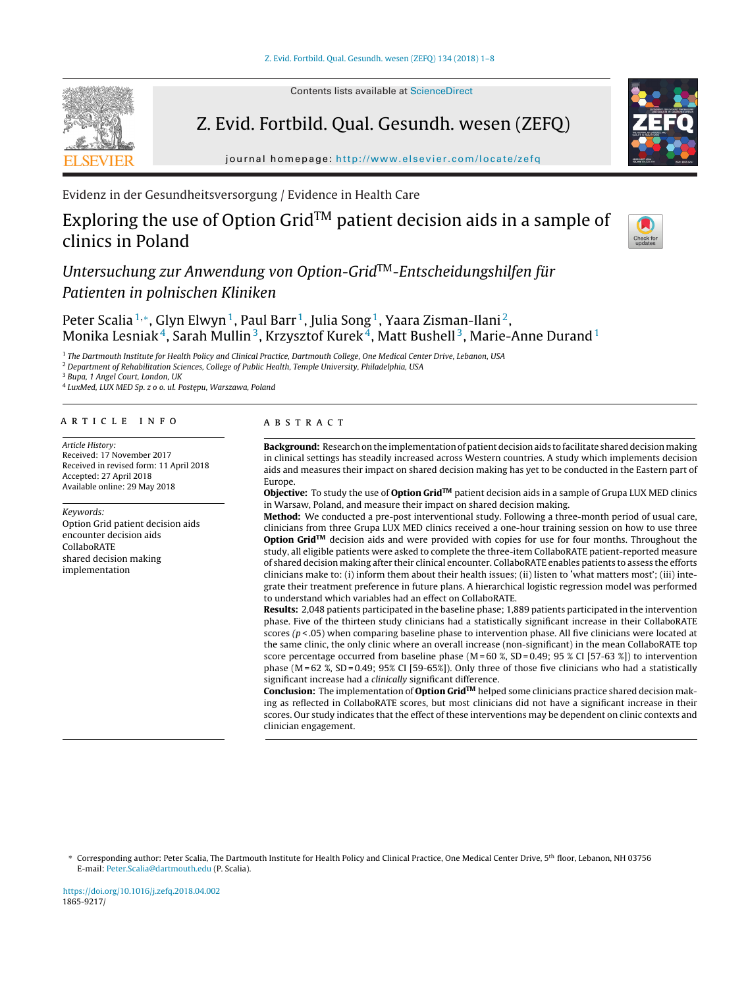

Contents lists available at [ScienceDirect](http://www.sciencedirect.com/science/journal/18659217)

# Z. Evid. Fortbild. Qual. Gesundh. wesen (ZEFQ)



iournal homepage: <http://www.elsevier.com/locate/zefq>

Evidenz in der Gesundheitsversorgung / Evidence in Health Care

## Exploring the use of Option Grid<sup>TM</sup> patient decision aids in a sample of clinics in Poland



Untersuchung zur Anwendung von Option-GridTM-Entscheidungshilfen für Patienten in polnischen Kliniken

Peter Scalia <sup>1,∗</sup>, Glyn Elwyn<sup>1</sup>, Paul Barr<sup>1</sup>, Julia Song<sup>1</sup>, Yaara Zisman-Ilani<sup>2</sup>, Monika Lesniak<sup>4</sup>, Sarah Mullin<sup>3</sup>, Krzysztof Kurek<sup>4</sup>, Matt Bushell<sup>3</sup>, Marie-Anne Durand<sup>1</sup>

<sup>1</sup> The Dartmouth Institute for Health Policy and Clinical Practice, Dartmouth College, One Medical Center Drive, Lebanon, USA

<sup>2</sup> Department of Rehabilitation Sciences, College of Public Health, Temple University, Philadelphia, USA

<sup>3</sup> Bupa, 1 Angel Court, London, UK

<sup>4</sup> LuxMed, LUX MED Sp. z o o. ul. Postępu, Warszawa, Poland

Article History: Received: 17 November 2017 Received in revised form: 11 April 2018 Accepted: 27 April 2018 Available online: 29 May 2018

#### Keywords:

Option Grid patient decision aids encounter decision aids CollaboRATE shared decision making implementation

**Background:** Research on the implementation of patient decision aids to facilitate shared decision making in clinical settings has steadily increased across Western countries. A study which implements decision aids and measures their impact on shared decision making has yet to be conducted in the Eastern part of Europe.

**Objective:** To study the use of **Option GridTM** patient decision aids in a sample of Grupa LUX MED clinics in Warsaw, Poland, and measure their impact on shared decision making.

**Method:** We conducted a pre-post interventional study. Following a three-month period of usual care, clinicians from three Grupa LUX MED clinics received a one-hour training session on how to use three **Option GridTM** decision aids and were provided with copies for use for four months. Throughout the study, all eligible patients were asked to complete the three-item CollaboRATE patient-reported measure of shared decision making after their clinical encounter. CollaboRATE enables patients to assess the efforts clinicians make to: (i) inform them about their health issues; (ii) listen to 'what matters most'; (iii) integrate their treatment preference in future plans. A hierarchical logistic regression model was performed to understand which variables had an effect on CollaboRATE.

**Results:** 2,048 patients participated in the baseline phase; 1,889 patients participated in the intervention phase. Five of the thirteen study clinicians had a statistically significant increase in their CollaboRATE scores ( $p$  < .05) when comparing baseline phase to intervention phase. All five clinicians were located at the same clinic, the only clinic where an overall increase (non-significant) in the mean CollaboRATE top score percentage occurred from baseline phase (M =  $60$  %, SD = 0.49; 95 % CI [57-63 %]) to intervention phase (M =  $62$  %, SD = 0.49; 95% CI [59-65%]). Only three of those five clinicians who had a statistically significant increase had a clinically significant difference.

**Conclusion:** The implementation of **Option GridTM** helped some clinicians practice shared decision making as reflected in CollaboRATE scores, but most clinicians did not have a significant increase in their scores. Our study indicates that the effect of these interventions may be dependent on clinic contexts and clinician engagement.

Corresponding author: Peter Scalia, The Dartmouth Institute for Health Policy and Clinical Practice, One Medical Center Drive, 5<sup>th</sup> floor, Lebanon, NH 03756 E-mail: [Peter.Scalia@dartmouth.edu](mailto:Peter.Scalia@dartmouth.edu) (P. Scalia).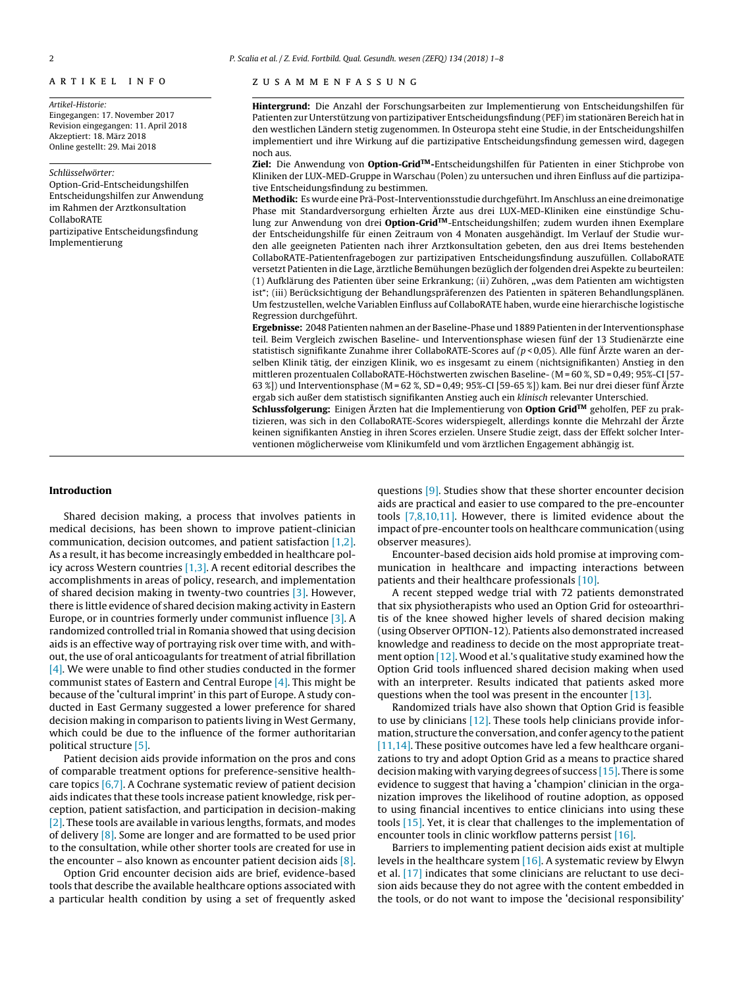#### Artikel-Historie:

Eingegangen: 17. November 2017 Revision eingegangen: 11. April 2018 Akzeptiert: 18. März 2018 Online gestellt: 29. Mai 2018

#### Schlüsselwörter:

Option-Grid-Entscheidungshilfen Entscheidungshilfen zur Anwendung im Rahmen der Arztkonsultation CollaboRATE partizipative Entscheidungsfindung Implementierung

#### ZUSAMMENFASSUNG

**Hintergrund:** Die Anzahl der Forschungsarbeiten zur Implementierung von Entscheidungshilfen für Patienten zur Unterstützung von partizipativer Entscheidungsfindung (PEF) im stationären Bereich hat in den westlichen Ländern stetig zugenommen. In Osteuropa steht eine Studie, in der Entscheidungshilfen implementiert und ihre Wirkung auf die partizipative Entscheidungsfindung gemessen wird, dagegen noch aus.

**Ziel:** Die Anwendung von **Option-GridTM-**Entscheidungshilfen für Patienten in einer Stichprobe von Kliniken der LUX-MED-Gruppe in Warschau (Polen) zu untersuchen und ihren Einfluss auf die partizipative Entscheidungsfindung zu bestimmen.

**Methodik:** Es wurde eine Prä-Post-Interventionsstudie durchgeführt. Im Anschluss an eine dreimonatige Phase mit Standardversorgung erhielten Ärzte aus drei LUX-MED-Kliniken eine einstündige Schulung zur Anwendung von drei **Option-GridTM**-Entscheidungshilfen; zudem wurden ihnen Exemplare der Entscheidungshilfe für einen Zeitraum von 4 Monaten ausgehändigt. Im Verlauf der Studie wurden alle geeigneten Patienten nach ihrer Arztkonsultation gebeten, den aus drei Items bestehenden CollaboRATE-Patientenfragebogen zur partizipativen Entscheidungsfindung auszufüllen. CollaboRATE versetzt Patienten in die Lage, ärztliche Bemühungen bezüglich der folgenden drei Aspekte zu beurteilen: (1) Aufklärung des Patienten über seine Erkrankung; (ii) Zuhören, ,,was dem Patienten am wichtigsten ist''; (iii) Berücksichtigung der Behandlungspräferenzen des Patienten in späteren Behandlungsplänen. Um festzustellen, welche Variablen Einfluss auf CollaboRATE haben, wurde eine hierarchische logistische Regression durchgeführt.

**Ergebnisse:** 2048 Patienten nahmen an der Baseline-Phase und 1889 Patienten in der Interventionsphase teil. Beim Vergleich zwischen Baseline- und Interventionsphase wiesen fünf der 13 Studienärzte eine statistisch signifikante Zunahme ihrer CollaboRATE-Scores auf (p < 0,05). Alle fünf Ärzte waren an derselben Klinik tätig, der einzigen Klinik, wo es insgesamt zu einem (nichtsignifikanten) Anstieg in den mittleren prozentualen CollaboRATE-Höchstwerten zwischen Baseline- (M = 60 %, SD = 0,49; 95%-CI [57- 63 %]) und Interventionsphase (M = 62 %, SD = 0,49; 95%-CI [59-65 %]) kam. Bei nur drei dieser fünf Ärzte ergab sich außer dem statistisch signifikanten Anstieg auch ein klinisch relevanter Unterschied.

**Schlussfolgerung:** Einigen Ärzten hat die Implementierung von **Option GridTM** geholfen, PEF zu praktizieren, was sich in den CollaboRATE-Scores widerspiegelt, allerdings konnte die Mehrzahl der Ärzte keinen signifikanten Anstieg in ihren Scores erzielen. Unsere Studie zeigt, dass der Effekt solcher Interventionen möglicherweise vom Klinikumfeld und vom ärztlichen Engagement abhängig ist.

#### **Introduction**

Shared decision making, a process that involves patients in medical decisions, has been shown to improve patient-clinician communication, decision outcomes, and patient satisfaction [\[1,2\].](#page-7-0) As a result, it has become increasingly embedded in healthcare policy across Western countries [\[1,3\].](#page-7-0) A recent editorial describes the accomplishments in areas of policy, research, and implementation of shared decision making in twenty-two countries [\[3\].](#page-7-0) However, there is little evidence of shared decision making activity in Eastern Europe, or in countries formerly under communist influence [\[3\].](#page-7-0) A randomized controlled trial in Romania showed that using decision aids is an effective way of portraying risk over time with, and without, the use of oral anticoagulants for treatment of atrial fibrillation  $[4]$ . We were unable to find other studies conducted in the former communist states of Eastern and Central Europe [\[4\].](#page-7-0) This might be because of the 'cultural imprint' in this part of Europe. A study conducted in East Germany suggested a lower preference for shared decision making in comparison to patients living in West Germany, which could be due to the influence of the former authoritarian political structure [\[5\].](#page-7-0)

Patient decision aids provide information on the pros and cons of comparable treatment options for preference-sensitive healthcare topics [\[6,7\].](#page-7-0) A Cochrane systematic review of patient decision aids indicates that these tools increase patient knowledge, risk perception, patient satisfaction, and participation in decision-making [\[2\].](#page-7-0) These tools are available in various lengths, formats, and modes of delivery [\[8\].](#page-7-0) Some are longer and are formatted to be used prior to the consultation, while other shorter tools are created for use in the encounter – also known as encounter patient decision aids  $[8]$ .

Option Grid encounter decision aids are brief, evidence-based tools that describe the available healthcare options associated with a particular health condition by using a set of frequently asked questions [\[9\].](#page-7-0) Studies show that these shorter encounter decision aids are practical and easier to use compared to the pre-encounter tools [\[7,8,10,11\].](#page-7-0) However, there is limited evidence about the impact of pre-encounter tools on healthcare communication (using observer measures).

Encounter-based decision aids hold promise at improving communication in healthcare and impacting interactions between patients and their healthcare professionals [\[10\].](#page-7-0)

A recent stepped wedge trial with 72 patients demonstrated that six physiotherapists who used an Option Grid for osteoarthritis of the knee showed higher levels of shared decision making (using Observer OPTION-12). Patients also demonstrated increased knowledge and readiness to decide on the most appropriate treatment option [\[12\].](#page-7-0) Wood et al.'s qualitative study examined how the Option Grid tools influenced shared decision making when used with an interpreter. Results indicated that patients asked more questions when the tool was present in the encounter [\[13\].](#page-7-0)

Randomized trials have also shown that Option Grid is feasible to use by clinicians  $[12]$ . These tools help clinicians provide information, structure the conversation, and confer agency to the patient [\[11,14\].](#page-7-0) These positive outcomes have led a few healthcare organizations to try and adopt Option Grid as a means to practice shared decision making with varying degrees of success [\[15\].](#page-7-0) There is some evidence to suggest that having a 'champion' clinician in the organization improves the likelihood of routine adoption, as opposed to using financial incentives to entice clinicians into using these tools [\[15\].](#page-7-0) Yet, it is clear that challenges to the implementation of encounter tools in clinic workflow patterns persist [\[16\].](#page-7-0)

Barriers to implementing patient decision aids exist at multiple levels in the healthcare system [\[16\].](#page-7-0) A systematic review by Elwyn et al. [\[17\]](#page-7-0) indicates that some clinicians are reluctant to use decision aids because they do not agree with the content embedded in the tools, or do not want to impose the 'decisional responsibility'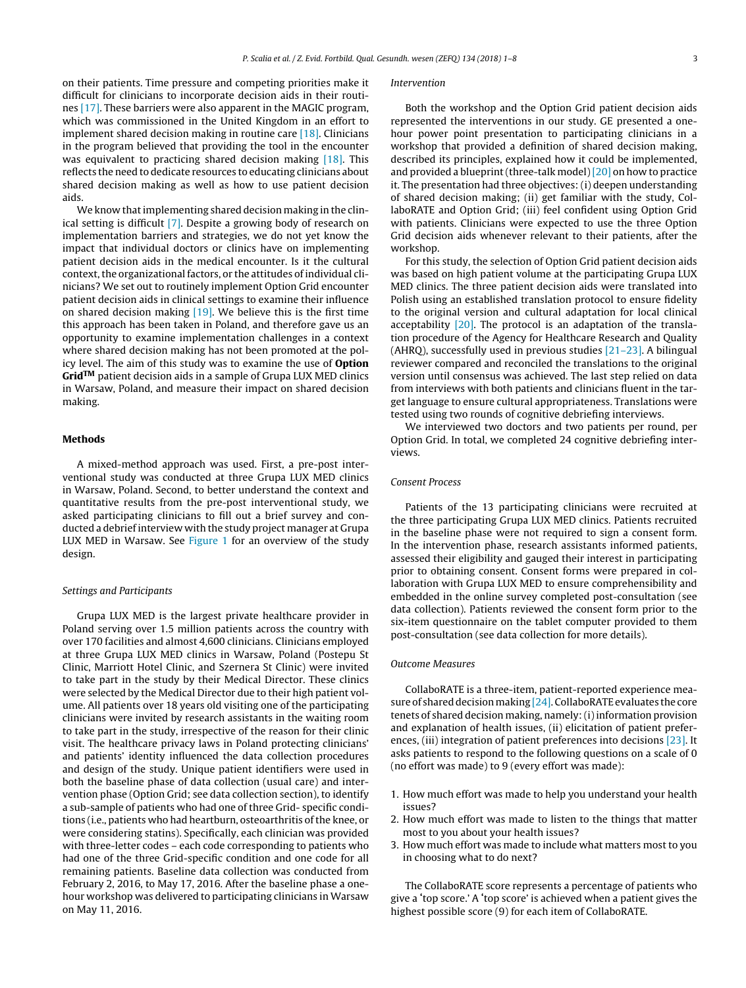on their patients. Time pressure and competing priorities make it difficult for clinicians to incorporate decision aids in their routines [\[17\].](#page-7-0) These barriers were also apparent in the MAGIC program, which was commissioned in the United Kingdom in an effort to implement shared decision making in routine care [\[18\].](#page-7-0) Clinicians in the program believed that providing the tool in the encounter was equivalent to practicing shared decision making [\[18\].](#page-7-0) This reflects the need to dedicate resources to educating clinicians about shared decision making as well as how to use patient decision aids.

We know that implementing shared decision making in the clinical setting is difficult [\[7\].](#page-7-0) Despite a growing body of research on implementation barriers and strategies, we do not yet know the impact that individual doctors or clinics have on implementing patient decision aids in the medical encounter. Is it the cultural context, the organizational factors, or the attitudes of individual clinicians? We set out to routinely implement Option Grid encounter patient decision aids in clinical settings to examine their influence on shared decision making [\[19\].](#page-7-0) We believe this is the first time this approach has been taken in Poland, and therefore gave us an opportunity to examine implementation challenges in a context where shared decision making has not been promoted at the policy level. The aim of this study was to examine the use of **Option GridTM** patient decision aids in a sample of Grupa LUX MED clinics in Warsaw, Poland, and measure their impact on shared decision making.

#### **Methods**

A mixed-method approach was used. First, a pre-post interventional study was conducted at three Grupa LUX MED clinics in Warsaw, Poland. Second, to better understand the context and quantitative results from the pre-post interventional study, we asked participating clinicians to fill out a brief survey and conducted a debrief interview with the study project manager at Grupa LUX MED in Warsaw. See [Figure](#page-3-0) 1 for an overview of the study design.

#### Settings and Participants

Grupa LUX MED is the largest private healthcare provider in Poland serving over 1.5 million patients across the country with over 170 facilities and almost 4,600 clinicians. Clinicians employed at three Grupa LUX MED clinics in Warsaw, Poland (Postepu St Clinic, Marriott Hotel Clinic, and Szernera St Clinic) were invited to take part in the study by their Medical Director. These clinics were selected by the Medical Director due to their high patient volume. All patients over 18 years old visiting one of the participating clinicians were invited by research assistants in the waiting room to take part in the study, irrespective of the reason for their clinic visit. The healthcare privacy laws in Poland protecting clinicians' and patients' identity influenced the data collection procedures and design of the study. Unique patient identifiers were used in both the baseline phase of data collection (usual care) and intervention phase (Option Grid; see data collection section), to identify a sub-sample of patients who had one of three Grid- specific conditions (i.e., patients who had heartburn, osteoarthritis of the knee, or were considering statins). Specifically, each clinician was provided with three-letter codes – each code corresponding to patients who had one of the three Grid-specific condition and one code for all remaining patients. Baseline data collection was conducted from February 2, 2016, to May 17, 2016. After the baseline phase a onehour workshop was delivered to participating clinicians in Warsaw on May 11, 2016.

#### Intervention

Both the workshop and the Option Grid patient decision aids represented the interventions in our study. GE presented a onehour power point presentation to participating clinicians in a workshop that provided a definition of shared decision making, described its principles, explained how it could be implemented, and provided a blueprint(three-talk model)[\[20\]](#page-7-0) on how to practice it. The presentation had three objectives: (i) deepen understanding of shared decision making; (ii) get familiar with the study, CollaboRATE and Option Grid; (iii) feel confident using Option Grid with patients. Clinicians were expected to use the three Option Grid decision aids whenever relevant to their patients, after the workshop.

For this study, the selection of Option Grid patient decision aids was based on high patient volume at the participating Grupa LUX MED clinics. The three patient decision aids were translated into Polish using an established translation protocol to ensure fidelity to the original version and cultural adaptation for local clinical acceptability [\[20\].](#page-7-0) The protocol is an adaptation of the translation procedure of the Agency for Healthcare Research and Quality (AHRQ), successfully used in previous studies [\[21–23\].](#page-7-0) A bilingual reviewer compared and reconciled the translations to the original version until consensus was achieved. The last step relied on data from interviews with both patients and clinicians fluent in the target language to ensure cultural appropriateness. Translations were tested using two rounds of cognitive debriefing interviews.

We interviewed two doctors and two patients per round, per Option Grid. In total, we completed 24 cognitive debriefing interviews.

### Consent Process

Patients of the 13 participating clinicians were recruited at the three participating Grupa LUX MED clinics. Patients recruited in the baseline phase were not required to sign a consent form. In the intervention phase, research assistants informed patients, assessed their eligibility and gauged their interest in participating prior to obtaining consent. Consent forms were prepared in collaboration with Grupa LUX MED to ensure comprehensibility and embedded in the online survey completed post-consultation (see data collection). Patients reviewed the consent form prior to the six-item questionnaire on the tablet computer provided to them post-consultation (see data collection for more details).

#### Outcome Measures

CollaboRATE is a three-item, patient-reported experience measure of shared decision making  $[24]$ . CollaboRATE evaluates the core tenets of shared decision making, namely: (i) information provision and explanation of health issues, (ii) elicitation of patient preferences, (iii) integration of patient preferences into decisions [\[23\].](#page-7-0) It asks patients to respond to the following questions on a scale of 0 (no effort was made) to 9 (every effort was made):

- 1. How much effort was made to help you understand your health issues?
- 2. How much effort was made to listen to the things that matter most to you about your health issues?
- 3. How much effort was made to include what matters most to you in choosing what to do next?

The CollaboRATE score represents a percentage of patients who give a 'top score.' A 'top score' is achieved when a patient gives the highest possible score (9) for each item of CollaboRATE.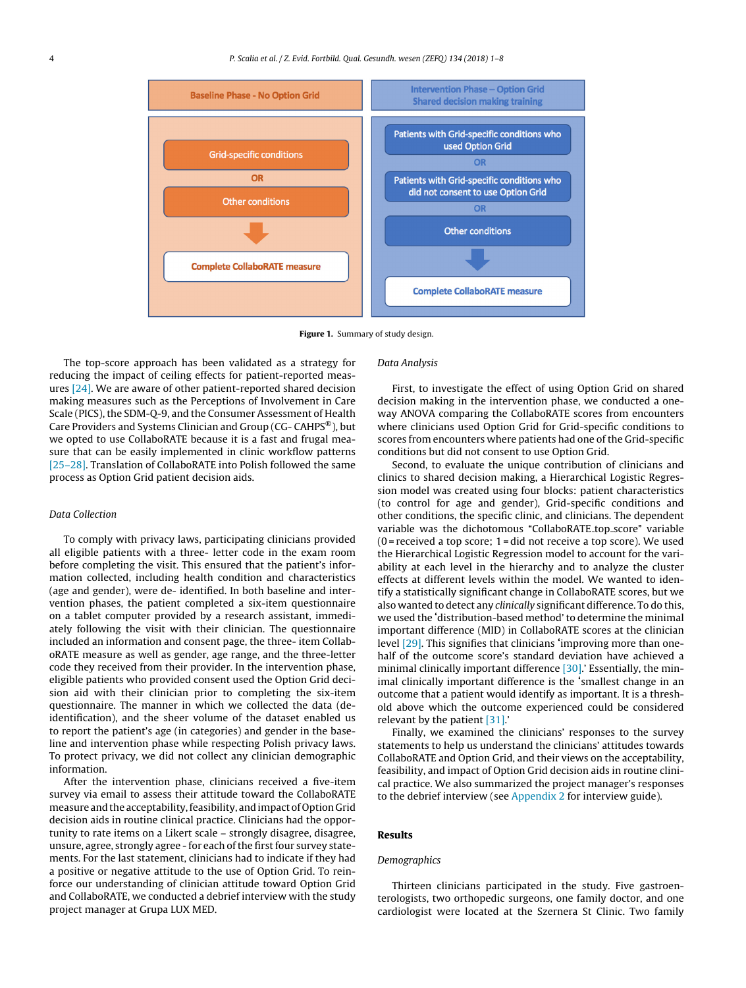<span id="page-3-0"></span>

**Figure 1.** Summary of study design.

The top-score approach has been validated as a strategy for reducing the impact of ceiling effects for patient-reported measures [\[24\].](#page-7-0) We are aware of other patient-reported shared decision making measures such as the Perceptions of Involvement in Care Scale (PICS), the SDM-Q-9, and the Consumer Assessment of Health Care Providers and Systems Clinician and Group (CG- CAHPS®), but we opted to use CollaboRATE because it is a fast and frugal measure that can be easily implemented in clinic workflow patterns [\[25–28\].](#page-7-0) Translation of CollaboRATE into Polish followed the same process as Option Grid patient decision aids.

#### Data Collection

To comply with privacy laws, participating clinicians provided all eligible patients with a three- letter code in the exam room before completing the visit. This ensured that the patient's information collected, including health condition and characteristics (age and gender), were de- identified. In both baseline and intervention phases, the patient completed a six-item questionnaire on a tablet computer provided by a research assistant, immediately following the visit with their clinician. The questionnaire included an information and consent page, the three- item CollaboRATE measure as well as gender, age range, and the three-letter code they received from their provider. In the intervention phase, eligible patients who provided consent used the Option Grid decision aid with their clinician prior to completing the six-item questionnaire. The manner in which we collected the data (deidentification), and the sheer volume of the dataset enabled us to report the patient's age (in categories) and gender in the baseline and intervention phase while respecting Polish privacy laws. To protect privacy, we did not collect any clinician demographic information.

After the intervention phase, clinicians received a five-item survey via email to assess their attitude toward the CollaboRATE measure and the acceptability, feasibility, and impact of Option Grid decision aids in routine clinical practice. Clinicians had the opportunity to rate items on a Likert scale – strongly disagree, disagree, unsure, agree, strongly agree - for each of the first four survey statements. For the last statement, clinicians had to indicate if they had a positive or negative attitude to the use of Option Grid. To reinforce our understanding of clinician attitude toward Option Grid and CollaboRATE, we conducted a debrief interview with the study project manager at Grupa LUX MED.

#### Data Analysis

First, to investigate the effect of using Option Grid on shared decision making in the intervention phase, we conducted a oneway ANOVA comparing the CollaboRATE scores from encounters where clinicians used Option Grid for Grid-specific conditions to scores from encounters where patients had one of the Grid-specific conditions but did not consent to use Option Grid.

Second, to evaluate the unique contribution of clinicians and clinics to shared decision making, a Hierarchical Logistic Regression model was created using four blocks: patient characteristics (to control for age and gender), Grid-specific conditions and other conditions, the specific clinic, and clinicians. The dependent variable was the dichotomous ''CollaboRATE top score'' variable  $(0 =$  received a top score; 1 = did not receive a top score). We used the Hierarchical Logistic Regression model to account for the variability at each level in the hierarchy and to analyze the cluster effects at different levels within the model. We wanted to identify a statistically significant change in CollaboRATE scores, but we also wanted to detect any clinically significant difference. To do this, we used the 'distribution-based method' to determine the minimal important difference (MID) in CollaboRATE scores at the clinician level [\[29\].](#page-7-0) This signifies that clinicians 'improving more than onehalf of the outcome score's standard deviation have achieved a minimal clinically important difference [\[30\].'](#page-7-0) Essentially, the minimal clinically important difference is the 'smallest change in an outcome that a patient would identify as important. It is a threshold above which the outcome experienced could be considered relevant by the patient [\[31\].'](#page-7-0)

Finally, we examined the clinicians' responses to the survey statements to help us understand the clinicians' attitudes towards CollaboRATE and Option Grid, and their views on the acceptability, feasibility, and impact of Option Grid decision aids in routine clinical practice. We also summarized the project manager's responses to the debrief interview (see [Appendix](#page-6-0) 2 for interview guide).

#### **Results**

#### Demographics

Thirteen clinicians participated in the study. Five gastroenterologists, two orthopedic surgeons, one family doctor, and one cardiologist were located at the Szernera St Clinic. Two family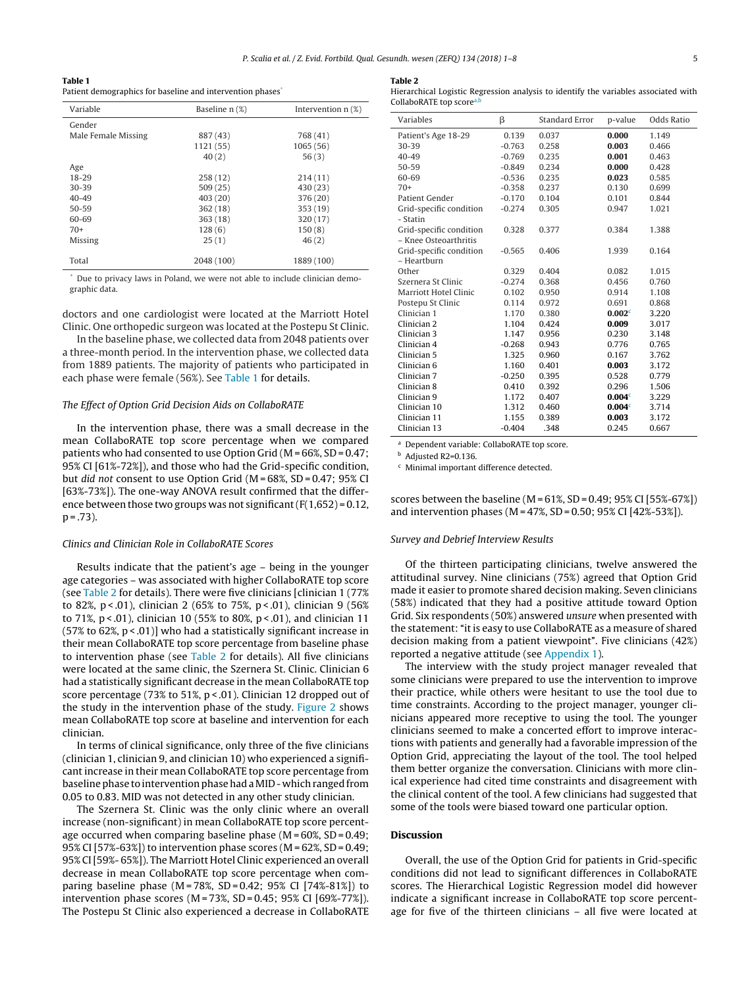Patient demographics for baseline and intervention phases<sup>\*</sup>

| Variable            | Baseline n (%) | Intervention $n$ $(\%)$ |
|---------------------|----------------|-------------------------|
| Gender              |                |                         |
| Male Female Missing | 887 (43)       | 768 (41)                |
|                     | 1121 (55)      | 1065(56)                |
|                     | 40(2)          | 56(3)                   |
| Age                 |                |                         |
| 18-29               | 258(12)        | 214(11)                 |
| $30 - 39$           | 509(25)        | 430 (23)                |
| $40 - 49$           | 403 (20)       | 376 (20)                |
| $50 - 59$           | 362(18)        | 353(19)                 |
| 60-69               | 363(18)        | 320(17)                 |
| $70+$               | 128(6)         | 150(8)                  |
| Missing             | 25(1)          | 46(2)                   |
| Total               | 2048 (100)     | 1889 (100)              |
|                     |                |                         |

Due to privacy laws in Poland, we were not able to include clinician demographic data.

doctors and one cardiologist were located at the Marriott Hotel Clinic. One orthopedic surgeon was located at the Postepu St Clinic.

In the baseline phase, we collected data from 2048 patients over a three-month period. In the intervention phase, we collected data from 1889 patients. The majority of patients who participated in each phase were female (56%). See Table 1 for details.

## The Effect of Option Grid Decision Aids on CollaboRATE

In the intervention phase, there was a small decrease in the mean CollaboRATE top score percentage when we compared patients who had consented to use Option Grid (M = 66%, SD = 0.47; 95% CI [61%-72%]), and those who had the Grid-specific condition, but did not consent to use Option Grid (M = 68%, SD = 0.47; 95% CI [63%-73%]). The one-way ANOVA result confirmed that the difference between those two groups was not significant  $(F(1,652) = 0.12,$  $p = .73$ ).

#### Clinics and Clinician Role in CollaboRATE Scores

Results indicate that the patient's age – being in the younger age categories – was associated with higher CollaboRATE top score (see Table 2 for details). There were five clinicians [clinician 1 (77% to 82%, p < .01), clinician 2 (65% to 75%, p < .01), clinician 9 (56% to 71%, p < .01), clinician 10 (55% to 80%, p < .01), and clinician 11  $(57%$  to 62%, p < .01)] who had a statistically significant increase in their mean CollaboRATE top score percentage from baseline phase to intervention phase (see Table 2 for details). All five clinicians were located at the same clinic, the Szernera St. Clinic. Clinician 6 had a statistically significant decrease in the mean CollaboRATE top score percentage (73% to 51%, p < .01). Clinician 12 dropped out of the study in the intervention phase of the study. [Figure](#page-5-0) 2 shows mean CollaboRATE top score at baseline and intervention for each clinician.

In terms of clinical significance, only three of the five clinicians (clinician 1, clinician 9, and clinician 10) who experienced a significant increase in their mean CollaboRATE top score percentage from baseline phase to intervention phase had a MID - which ranged from 0.05 to 0.83. MID was not detected in any other study clinician.

The Szernera St. Clinic was the only clinic where an overall increase (non-significant) in mean CollaboRATE top score percentage occurred when comparing baseline phase ( $M = 60\%$ , SD = 0.49; 95% CI [57%-63%]) to intervention phase scores (M = 62%, SD = 0.49; 95% CI[59%- 65%]). The Marriott Hotel Clinic experienced an overall decrease in mean CollaboRATE top score percentage when comparing baseline phase (M = 78%, SD = 0.42; 95% CI [74%-81%]) to intervention phase scores (M = 73%, SD = 0.45; 95% CI [69%-77%]). The Postepu St Clinic also experienced a decrease in CollaboRATE

#### **Table 2**

Hierarchical Logistic Regression analysis to identify the variables associated with CollaboRATE top score<sup>a,b</sup>

| Variables               | β        | Standard Error | p-value            | Odds Ratio |
|-------------------------|----------|----------------|--------------------|------------|
| Patient's Age 18-29     | 0.139    | 0.037          | 0.000              | 1.149      |
| 30-39                   | $-0.763$ | 0.258          | 0.003              | 0.466      |
| 40-49                   | $-0.769$ | 0.235          | 0.001              | 0.463      |
| $50 - 59$               | $-0.849$ | 0.234          | 0.000              | 0.428      |
| 60-69                   | $-0.536$ | 0.235          | 0.023              | 0.585      |
| $70+$                   | $-0.358$ | 0.237          | 0.130              | 0.699      |
| Patient Gender          | $-0.170$ | 0.104          | 0.101              | 0.844      |
| Grid-specific condition | $-0.274$ | 0.305          | 0.947              | 1.021      |
| - Statin                |          |                |                    |            |
| Grid-specific condition | 0.328    | 0.377          | 0.384              | 1.388      |
| - Knee Osteoarthritis   |          |                |                    |            |
| Grid-specific condition | $-0.565$ | 0.406          | 1.939              | 0.164      |
| - Heartburn             |          |                |                    |            |
| Other                   | 0.329    | 0.404          | 0.082              | 1.015      |
| Szernera St Clinic      | $-0.274$ | 0.368          | 0.456              | 0.760      |
| Marriott Hotel Clinic   | 0.102    | 0.950          | 0.914              | 1.108      |
| Postepu St Clinic       | 0.114    | 0.972          | 0.691              | 0.868      |
| Clinician 1             | 1.170    | 0.380          | 0.002 <sup>c</sup> | 3.220      |
| Clinician 2             | 1.104    | 0.424          | 0.009              | 3.017      |
| Clinician 3             | 1.147    | 0.956          | 0.230              | 3.148      |
| Clinician 4             | $-0.268$ | 0.943          | 0.776              | 0.765      |
| Clinician 5             | 1.325    | 0.960          | 0.167              | 3.762      |
| Clinician 6             | 1.160    | 0.401          | 0.003              | 3.172      |
| Clinician 7             | $-0.250$ | 0.395          | 0.528              | 0.779      |
| Clinician 8             | 0.410    | 0.392          | 0.296              | 1.506      |
| Clinician 9             | 1.172    | 0.407          | 0.004 <sup>c</sup> | 3.229      |
| Clinician 10            | 1.312    | 0.460          | 0.004 <sup>c</sup> | 3.714      |
| Clinician 11            | 1.155    | 0.389          | 0.003              | 3.172      |
| Clinician 13            | $-0.404$ | .348           | 0.245              | 0.667      |

Dependent variable: CollaboRATE top score.

<sup>b</sup> Adjusted R2=0.136.

<sup>c</sup> Minimal important difference detected.

scores between the baseline (M =  $61\%$ , SD = 0.49; 95% CI [55%-67%]) and intervention phases (M = 47%, SD = 0.50; 95% CI [42%-53%]).

#### Survey and Debrief Interview Results

Of the thirteen participating clinicians, twelve answered the attitudinal survey. Nine clinicians (75%) agreed that Option Grid made it easier to promote shared decision making. Seven clinicians (58%) indicated that they had a positive attitude toward Option Grid. Six respondents (50%) answered unsure when presented with the statement: "it is easy to use CollaboRATE as a measure of shared decision making from a patient viewpoint''. Five clinicians (42%) reported a negative attitude (see [Appendix](#page-6-0) 1).

The interview with the study project manager revealed that some clinicians were prepared to use the intervention to improve their practice, while others were hesitant to use the tool due to time constraints. According to the project manager, younger clinicians appeared more receptive to using the tool. The younger clinicians seemed to make a concerted effort to improve interactions with patients and generally had a favorable impression of the Option Grid, appreciating the layout of the tool. The tool helped them better organize the conversation. Clinicians with more clinical experience had cited time constraints and disagreement with the clinical content of the tool. A few clinicians had suggested that some of the tools were biased toward one particular option.

#### **Discussion**

Overall, the use of the Option Grid for patients in Grid-specific conditions did not lead to significant differences in CollaboRATE scores. The Hierarchical Logistic Regression model did however indicate a significant increase in CollaboRATE top score percentage for five of the thirteen clinicians – all five were located at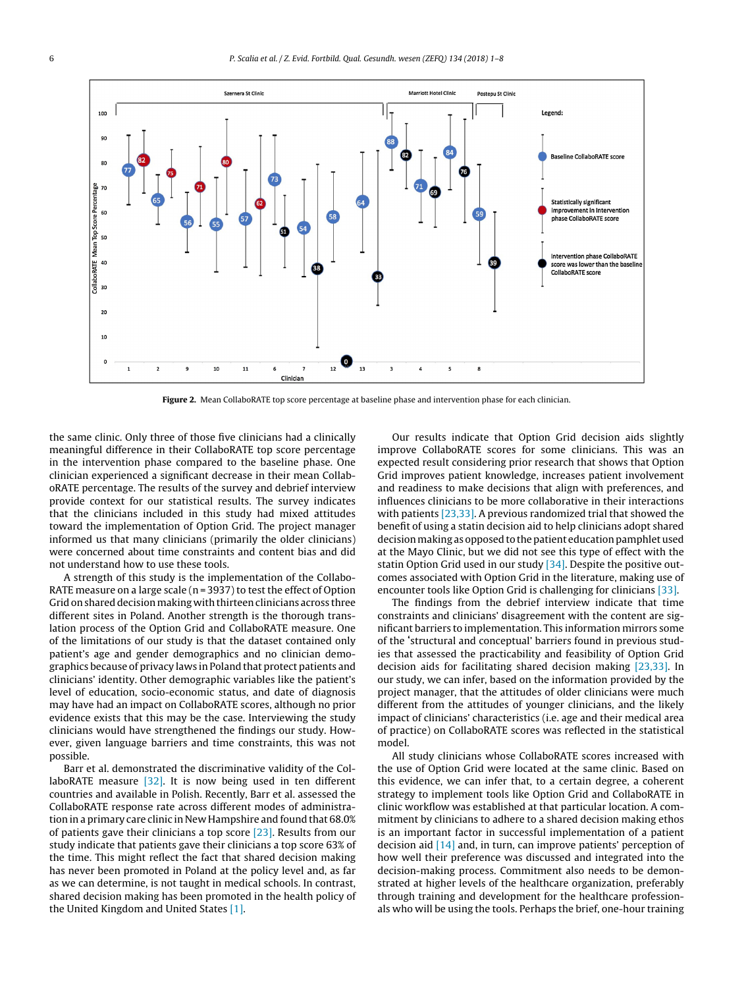<span id="page-5-0"></span>

**Figure 2.** Mean CollaboRATE top score percentage at baseline phase and intervention phase for each clinician.

the same clinic. Only three of those five clinicians had a clinically meaningful difference in their CollaboRATE top score percentage in the intervention phase compared to the baseline phase. One clinician experienced a significant decrease in their mean CollaboRATE percentage. The results of the survey and debrief interview provide context for our statistical results. The survey indicates that the clinicians included in this study had mixed attitudes toward the implementation of Option Grid. The project manager informed us that many clinicians (primarily the older clinicians) were concerned about time constraints and content bias and did not understand how to use these tools.

A strength of this study is the implementation of the Collabo-RATE measure on a large scale (n = 3937) to test the effect of Option Grid on shared decision making with thirteen clinicians across three different sites in Poland. Another strength is the thorough translation process of the Option Grid and CollaboRATE measure. One of the limitations of our study is that the dataset contained only patient's age and gender demographics and no clinician demographics because of privacy laws in Poland that protect patients and clinicians' identity. Other demographic variables like the patient's level of education, socio-economic status, and date of diagnosis may have had an impact on CollaboRATE scores, although no prior evidence exists that this may be the case. Interviewing the study clinicians would have strengthened the findings our study. However, given language barriers and time constraints, this was not possible.

Barr et al. demonstrated the discriminative validity of the CollaboRATE measure [\[32\].](#page-7-0) It is now being used in ten different countries and available in Polish. Recently, Barr et al. assessed the CollaboRATE response rate across different modes of administration in a primary care clinic in New Hampshire and found that 68.0% of patients gave their clinicians a top score [\[23\].](#page-7-0) Results from our study indicate that patients gave their clinicians a top score 63% of the time. This might reflect the fact that shared decision making has never been promoted in Poland at the policy level and, as far as we can determine, is not taught in medical schools. In contrast, shared decision making has been promoted in the health policy of the United Kingdom and United States [\[1\].](#page-7-0)

Our results indicate that Option Grid decision aids slightly improve CollaboRATE scores for some clinicians. This was an expected result considering prior research that shows that Option Grid improves patient knowledge, increases patient involvement and readiness to make decisions that align with preferences, and influences clinicians to be more collaborative in their interactions with patients [\[23,33\].](#page-7-0) A previous randomized trial that showed the benefit of using a statin decision aid to help clinicians adopt shared decision making as opposed to the patient education pamphlet used at the Mayo Clinic, but we did not see this type of effect with the statin Option Grid used in our study [\[34\].](#page-7-0) Despite the positive outcomes associated with Option Grid in the literature, making use of encounter tools like Option Grid is challenging for clinicians [\[33\].](#page-7-0)

The findings from the debrief interview indicate that time constraints and clinicians' disagreement with the content are significant barriers to implementation. This information mirrors some of the 'structural and conceptual' barriers found in previous studies that assessed the practicability and feasibility of Option Grid decision aids for facilitating shared decision making [\[23,33\].](#page-7-0) In our study, we can infer, based on the information provided by the project manager, that the attitudes of older clinicians were much different from the attitudes of younger clinicians, and the likely impact of clinicians' characteristics (i.e. age and their medical area of practice) on CollaboRATE scores was reflected in the statistical model.

All study clinicians whose CollaboRATE scores increased with the use of Option Grid were located at the same clinic. Based on this evidence, we can infer that, to a certain degree, a coherent strategy to implement tools like Option Grid and CollaboRATE in clinic workflow was established at that particular location. A commitment by clinicians to adhere to a shared decision making ethos is an important factor in successful implementation of a patient decision aid [\[14\]](#page-7-0) and, in turn, can improve patients' perception of how well their preference was discussed and integrated into the decision-making process. Commitment also needs to be demonstrated at higher levels of the healthcare organization, preferably through training and development for the healthcare professionals who will be using the tools. Perhaps the brief, one-hour training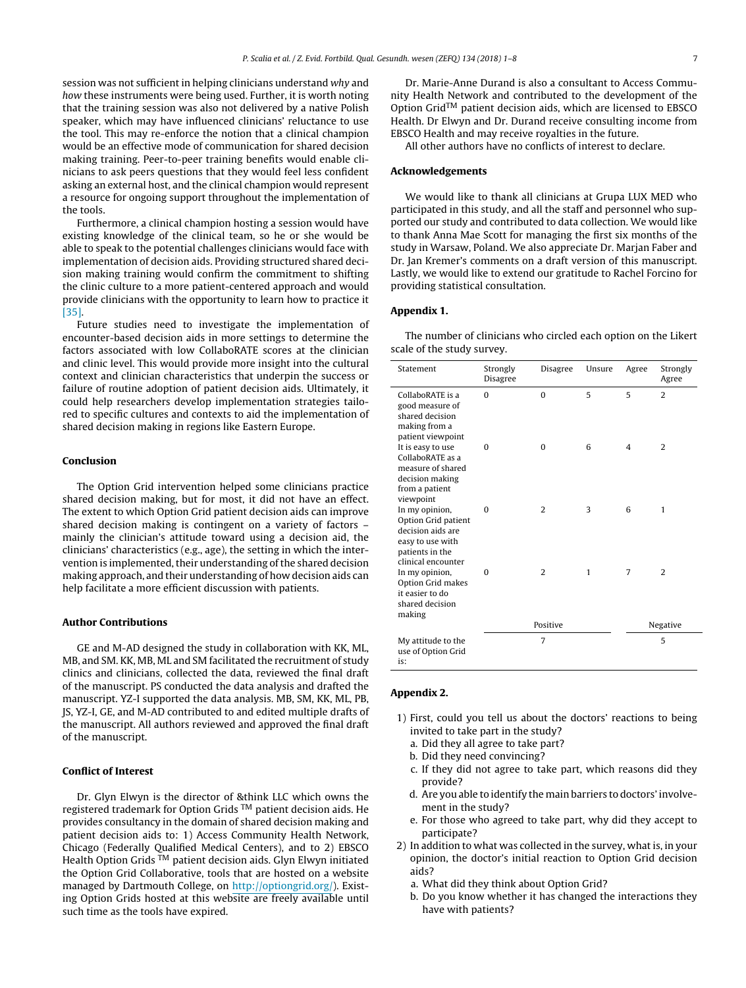<span id="page-6-0"></span>session was not sufficient in helping clinicians understand why and how these instruments were being used. Further, it is worth noting that the training session was also not delivered by a native Polish speaker, which may have influenced clinicians' reluctance to use the tool. This may re-enforce the notion that a clinical champion would be an effective mode of communication for shared decision making training. Peer-to-peer training benefits would enable clinicians to ask peers questions that they would feel less confident asking an external host, and the clinical champion would represent a resource for ongoing support throughout the implementation of the tools.

Furthermore, a clinical champion hosting a session would have existing knowledge of the clinical team, so he or she would be able to speak to the potential challenges clinicians would face with implementation of decision aids. Providing structured shared decision making training would confirm the commitment to shifting the clinic culture to a more patient-centered approach and would provide clinicians with the opportunity to learn how to practice it [\[35\].](#page-7-0)

Future studies need to investigate the implementation of encounter-based decision aids in more settings to determine the factors associated with low CollaboRATE scores at the clinician and clinic level. This would provide more insight into the cultural context and clinician characteristics that underpin the success or failure of routine adoption of patient decision aids. Ultimately, it could help researchers develop implementation strategies tailored to specific cultures and contexts to aid the implementation of shared decision making in regions like Eastern Europe.

#### **Conclusion**

The Option Grid intervention helped some clinicians practice shared decision making, but for most, it did not have an effect. The extent to which Option Grid patient decision aids can improve shared decision making is contingent on a variety of factors – mainly the clinician's attitude toward using a decision aid, the clinicians' characteristics (e.g., age), the setting in which the intervention is implemented, their understanding of the shared decision making approach, and their understanding of how decision aids can help facilitate a more efficient discussion with patients.

#### **Author Contributions**

GE and M-AD designed the study in collaboration with KK, ML, MB, and SM. KK, MB, ML and SM facilitated the recruitment of study clinics and clinicians, collected the data, reviewed the final draft of the manuscript. PS conducted the data analysis and drafted the manuscript. YZ-I supported the data analysis. MB, SM, KK, ML, PB, JS, YZ-I, GE, and M-AD contributed to and edited multiple drafts of the manuscript. All authors reviewed and approved the final draft of the manuscript.

### **Conflict of Interest**

Dr. Glyn Elwyn is the director of &think LLC which owns the registered trademark for Option Grids TM patient decision aids. He provides consultancy in the domain of shared decision making and patient decision aids to: 1) Access Community Health Network, Chicago (Federally Qualified Medical Centers), and to 2) EBSCO Health Option Grids TM patient decision aids. Glyn Elwyn initiated the Option Grid Collaborative, tools that are hosted on a website managed by Dartmouth College, on [http://optiongrid.org/\)](http://optiongrid.org/). Existing Option Grids hosted at this website are freely available until such time as the tools have expired.

Dr. Marie-Anne Durand is also a consultant to Access Community Health Network and contributed to the development of the Option GridTM patient decision aids, which are licensed to EBSCO Health. Dr Elwyn and Dr. Durand receive consulting income from EBSCO Health and may receive royalties in the future.

All other authors have no conflicts of interest to declare.

#### **Acknowledgements**

We would like to thank all clinicians at Grupa LUX MED who participated in this study, and all the staff and personnel who supported our study and contributed to data collection. We would like to thank Anna Mae Scott for managing the first six months of the study in Warsaw, Poland. We also appreciate Dr. Marjan Faber and Dr. Jan Kremer's comments on a draft version of this manuscript. Lastly, we would like to extend our gratitude to Rachel Forcino for providing statistical consultation.

### **Appendix 1.**

The number of clinicians who circled each option on the Likert scale of the study survey.

| Statement                                                                                                               | Strongly<br>Disagree | Disagree                   | Unsure       | Agree | Strongly<br>Agree          |
|-------------------------------------------------------------------------------------------------------------------------|----------------------|----------------------------|--------------|-------|----------------------------|
| CollaboRATE is a<br>good measure of<br>shared decision<br>making from a<br>patient viewpoint                            | $\Omega$             | $\Omega$                   | 5            | 5     | $\overline{2}$             |
| It is easy to use<br>CollaboRATE as a<br>measure of shared<br>decision making<br>from a patient<br>viewpoint            | $\Omega$             | $\Omega$                   | 6            | 4     | $\overline{2}$             |
| In my opinion,<br>Option Grid patient<br>decision aids are<br>easy to use with<br>patients in the<br>clinical encounter | $\Omega$             | $\overline{2}$             | 3            | 6     | 1                          |
| In my opinion,<br>Option Grid makes<br>it easier to do<br>shared decision<br>making                                     | $\Omega$             | $\overline{2}$<br>Positive | $\mathbf{1}$ | 7     | $\overline{2}$<br>Negative |
|                                                                                                                         |                      |                            |              |       |                            |
| My attitude to the<br>use of Option Grid<br>is:                                                                         |                      | 7                          |              |       | 5                          |

#### **Appendix 2.**

- 1) First, could you tell us about the doctors' reactions to being invited to take part in the study?
	- a. Did they all agree to take part?
	- b. Did they need convincing?
	- c. If they did not agree to take part, which reasons did they provide?
	- d. Are you able to identify the main barriers to doctors' involvement in the study?
	- e. For those who agreed to take part, why did they accept to participate?
- 2) In addition to what was collected in the survey, what is, in your opinion, the doctor's initial reaction to Option Grid decision aids?
	- a. What did they think about Option Grid?
	- b. Do you know whether it has changed the interactions they have with patients?